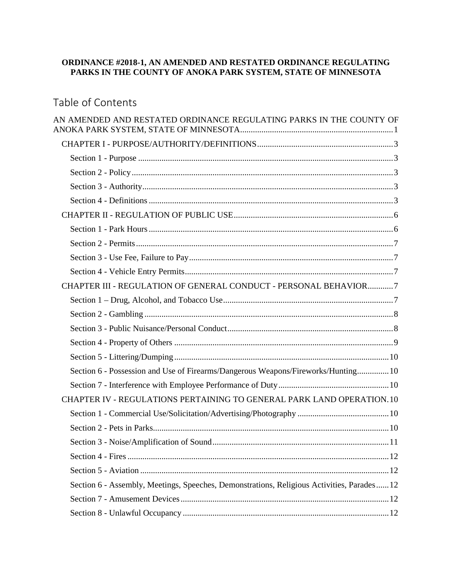## <span id="page-0-0"></span>**ORDINANCE #2018-1, AN AMENDED AND RESTATED ORDINANCE REGULATING PARKS IN THE COUNTY OF ANOKA PARK SYSTEM, STATE OF MINNESOTA**

# Table of Contents

| AN AMENDED AND RESTATED ORDINANCE REGULATING PARKS IN THE COUNTY OF                        |
|--------------------------------------------------------------------------------------------|
|                                                                                            |
|                                                                                            |
|                                                                                            |
|                                                                                            |
|                                                                                            |
|                                                                                            |
|                                                                                            |
|                                                                                            |
|                                                                                            |
|                                                                                            |
| CHAPTER III - REGULATION OF GENERAL CONDUCT - PERSONAL BEHAVIOR7                           |
|                                                                                            |
|                                                                                            |
|                                                                                            |
|                                                                                            |
|                                                                                            |
| Section 6 - Possession and Use of Firearms/Dangerous Weapons/Fireworks/Hunting 10          |
|                                                                                            |
| CHAPTER IV - REGULATIONS PERTAINING TO GENERAL PARK LAND OPERATION. 10                     |
|                                                                                            |
|                                                                                            |
|                                                                                            |
|                                                                                            |
|                                                                                            |
| Section 6 - Assembly, Meetings, Speeches, Demonstrations, Religious Activities, Parades 12 |
|                                                                                            |
|                                                                                            |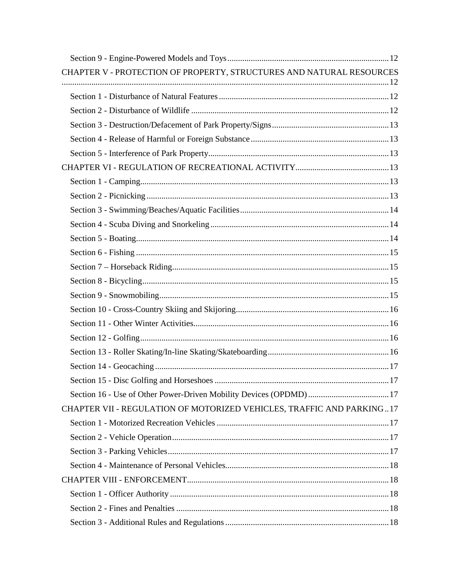| CHAPTER V - PROTECTION OF PROPERTY, STRUCTURES AND NATURAL RESOURCES  |  |
|-----------------------------------------------------------------------|--|
|                                                                       |  |
|                                                                       |  |
|                                                                       |  |
|                                                                       |  |
|                                                                       |  |
|                                                                       |  |
|                                                                       |  |
|                                                                       |  |
|                                                                       |  |
|                                                                       |  |
|                                                                       |  |
|                                                                       |  |
|                                                                       |  |
|                                                                       |  |
|                                                                       |  |
|                                                                       |  |
|                                                                       |  |
|                                                                       |  |
|                                                                       |  |
|                                                                       |  |
|                                                                       |  |
|                                                                       |  |
|                                                                       |  |
| CHAPTER VII - REGULATION OF MOTORIZED VEHICLES, TRAFFIC AND PARKING17 |  |
|                                                                       |  |
|                                                                       |  |
|                                                                       |  |
|                                                                       |  |
|                                                                       |  |
|                                                                       |  |
|                                                                       |  |
|                                                                       |  |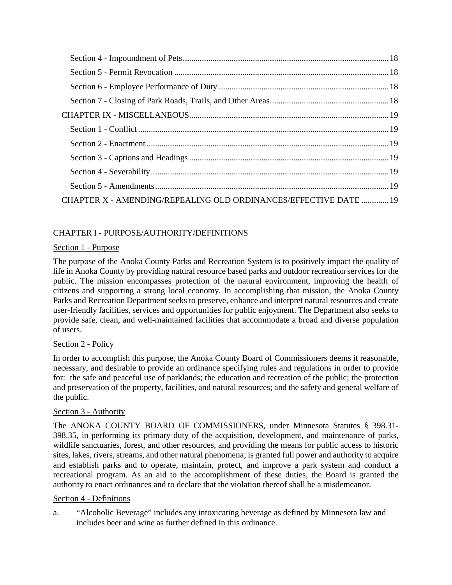| CHAPTER X - AMENDING/REPEALING OLD ORDINANCES/EFFECTIVE DATE  19 |  |
|------------------------------------------------------------------|--|

## <span id="page-2-0"></span>CHAPTER I - PURPOSE/AUTHORITY/DEFINITIONS

## <span id="page-2-1"></span>Section 1 - Purpose

The purpose of the Anoka County Parks and Recreation System is to positively impact the quality of life in Anoka County by providing natural resource based parks and outdoor recreation services for the public. The mission encompasses protection of the natural environment, improving the health of citizens and supporting a strong local economy. In accomplishing that mission, the Anoka County Parks and Recreation Department seeks to preserve, enhance and interpret natural resources and create user-friendly facilities, services and opportunities for public enjoyment. The Department also seeks to provide safe, clean, and well-maintained facilities that accommodate a broad and diverse population of users.

## <span id="page-2-2"></span>Section 2 - Policy

In order to accomplish this purpose, the Anoka County Board of Commissioners deems it reasonable, necessary, and desirable to provide an ordinance specifying rules and regulations in order to provide for: the safe and peaceful use of parklands; the education and recreation of the public; the protection and preservation of the property, facilities, and natural resources; and the safety and general welfare of the public.

## <span id="page-2-3"></span>Section 3 - Authority

The ANOKA COUNTY BOARD OF COMMISSIONERS, under Minnesota Statutes § 398.31- 398.35, in performing its primary duty of the acquisition, development, and maintenance of parks, wildlife sanctuaries, forest, and other resources, and providing the means for public access to historic sites, lakes, rivers, streams, and other natural phenomena; is granted full power and authority to acquire and establish parks and to operate, maintain, protect, and improve a park system and conduct a recreational program. As an aid to the accomplishment of these duties, the Board is granted the authority to enact ordinances and to declare that the violation thereof shall be a misdemeanor.

## <span id="page-2-4"></span>Section 4 - Definitions

a. "Alcoholic Beverage" includes any intoxicating beverage as defined by Minnesota law and includes beer and wine as further defined in this ordinance.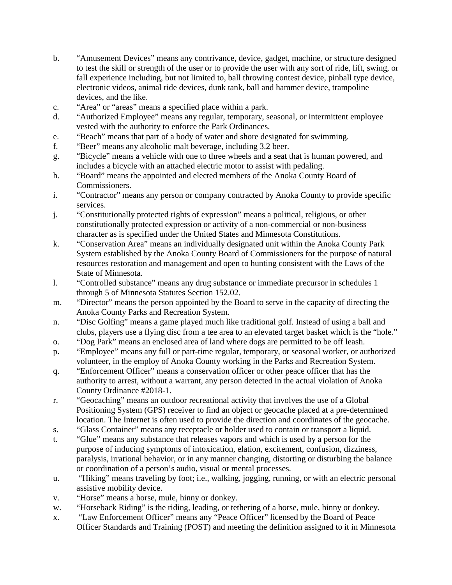- b. "Amusement Devices" means any contrivance, device, gadget, machine, or structure designed to test the skill or strength of the user or to provide the user with any sort of ride, lift, swing, or fall experience including, but not limited to, ball throwing contest device, pinball type device, electronic videos, animal ride devices, dunk tank, ball and hammer device, trampoline devices, and the like.
- c. "Area" or "areas" means a specified place within a park.
- d. "Authorized Employee" means any regular, temporary, seasonal, or intermittent employee vested with the authority to enforce the Park Ordinances.
- e. "Beach" means that part of a body of water and shore designated for swimming.
- f. "Beer" means any alcoholic malt beverage, including 3.2 beer.
- g. "Bicycle" means a vehicle with one to three wheels and a seat that is human powered, and includes a bicycle with an attached electric motor to assist with pedaling.
- h. "Board" means the appointed and elected members of the Anoka County Board of Commissioners.
- i. "Contractor" means any person or company contracted by Anoka County to provide specific services.
- j. "Constitutionally protected rights of expression" means a political, religious, or other constitutionally protected expression or activity of a non-commercial or non-business character as is specified under the United States and Minnesota Constitutions.
- k. "Conservation Area" means an individually designated unit within the Anoka County Park System established by the Anoka County Board of Commissioners for the purpose of natural resources restoration and management and open to hunting consistent with the Laws of the State of Minnesota.
- l. "Controlled substance" means any drug substance or immediate precursor in schedules 1 through 5 of Minnesota Statutes Section 152.02.
- m. "Director" means the person appointed by the Board to serve in the capacity of directing the Anoka County Parks and Recreation System.
- n. "Disc Golfing" means a game played much like traditional golf. Instead of using a ball and clubs, players use a flying disc from a tee area to an elevated target basket which is the "hole."
- o. "Dog Park" means an enclosed area of land where dogs are permitted to be off leash.
- p. "Employee" means any full or part-time regular, temporary, or seasonal worker, or authorized volunteer, in the employ of Anoka County working in the Parks and Recreation System.
- q. "Enforcement Officer" means a conservation officer or other peace officer that has the authority to arrest, without a warrant, any person detected in the actual violation of Anoka County Ordinance #2018-1.
- r. "Geocaching" means an outdoor recreational activity that involves the use of a Global Positioning System (GPS) receiver to find an object or geocache placed at a pre-determined location. The Internet is often used to provide the direction and coordinates of the geocache.
- s. "Glass Container" means any receptacle or holder used to contain or transport a liquid.
- t. "Glue" means any substance that releases vapors and which is used by a person for the purpose of inducing symptoms of intoxication, elation, excitement, confusion, dizziness, paralysis, irrational behavior, or in any manner changing, distorting or disturbing the balance or coordination of a person's audio, visual or mental processes.
- u. "Hiking" means traveling by foot; i.e., walking, jogging, running, or with an electric personal assistive mobility device.
- v. "Horse" means a horse, mule, hinny or donkey.
- w. "Horseback Riding" is the riding, leading, or tethering of a horse, mule, hinny or donkey.
- x. "Law Enforcement Officer" means any "Peace Officer" licensed by the Board of Peace Officer Standards and Training (POST) and meeting the definition assigned to it in Minnesota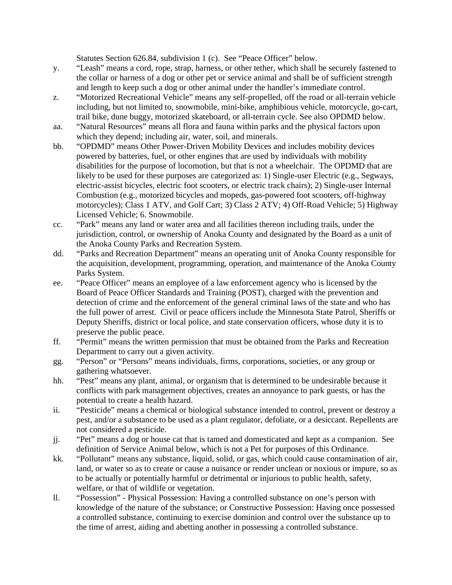Statutes Section 626.84, subdivision 1 (c). See "Peace Officer" below.

- y. "Leash" means a cord, rope, strap, harness, or other tether, which shall be securely fastened to the collar or harness of a dog or other pet or service animal and shall be of sufficient strength and length to keep such a dog or other animal under the handler's immediate control.
- z. "Motorized Recreational Vehicle" means any self-propelled, off the road or all-terrain vehicle including, but not limited to, snowmobile, mini-bike, amphibious vehicle, motorcycle, go-cart, trail bike, dune buggy, motorized skateboard, or all-terrain cycle. See also OPDMD below.
- aa. "Natural Resources" means all flora and fauna within parks and the physical factors upon which they depend; including air, water, soil, and minerals.
- bb. "OPDMD" means Other Power-Driven Mobility Devices and includes mobility devices powered by batteries, fuel, or other engines that are used by individuals with mobility disabilities for the purpose of locomotion, but that is not a wheelchair. The OPDMD that are likely to be used for these purposes are categorized as: 1) Single-user Electric (e.g., Segways, electric-assist bicycles, electric foot scooters, or electric track chairs); 2) Single-user Internal Combustion (e.g., motorized bicycles and mopeds, gas-powered foot scooters, off-highway motorcycles); Class 1 ATV, and Golf Cart; 3) Class 2 ATV; 4) Off-Road Vehicle; 5) Highway Licensed Vehicle; 6. Snowmobile.
- cc. "Park" means any land or water area and all facilities thereon including trails, under the jurisdiction, control, or ownership of Anoka County and designated by the Board as a unit of the Anoka County Parks and Recreation System.
- dd. "Parks and Recreation Department" means an operating unit of Anoka County responsible for the acquisition, development, programming, operation, and maintenance of the Anoka County Parks System.
- ee. "Peace Officer" means an employee of a law enforcement agency who is licensed by the Board of Peace Officer Standards and Training (POST), charged with the prevention and detection of crime and the enforcement of the general criminal laws of the state and who has the full power of arrest. Civil or peace officers include the Minnesota State Patrol, Sheriffs or Deputy Sheriffs, district or local police, and state conservation officers, whose duty it is to preserve the public peace.
- ff. "Permit" means the written permission that must be obtained from the Parks and Recreation Department to carry out a given activity.
- gg. "Person" or "Persons" means individuals, firms, corporations, societies, or any group or gathering whatsoever.
- hh. "Pest" means any plant, animal, or organism that is determined to be undesirable because it conflicts with park management objectives, creates an annoyance to park guests, or has the potential to create a health hazard.
- ii. "Pesticide" means a chemical or biological substance intended to control, prevent or destroy a pest, and/or a substance to be used as a plant regulator, defoliate, or a desiccant. Repellents are not considered a pesticide.
- jj. "Pet" means a dog or house cat that is tamed and domesticated and kept as a companion. See definition of Service Animal below, which is not a Pet for purposes of this Ordinance.
- kk. "Pollutant" means any substance, liquid, solid, or gas, which could cause contamination of air, land, or water so as to create or cause a nuisance or render unclean or noxious or impure, so as to be actually or potentially harmful or detrimental or injurious to public health, safety, welfare, or that of wildlife or vegetation.
- ll. "Possession" Physical Possession: Having a controlled substance on one's person with knowledge of the nature of the substance; or Constructive Possession: Having once possessed a controlled substance, continuing to exercise dominion and control over the substance up to the time of arrest, aiding and abetting another in possessing a controlled substance.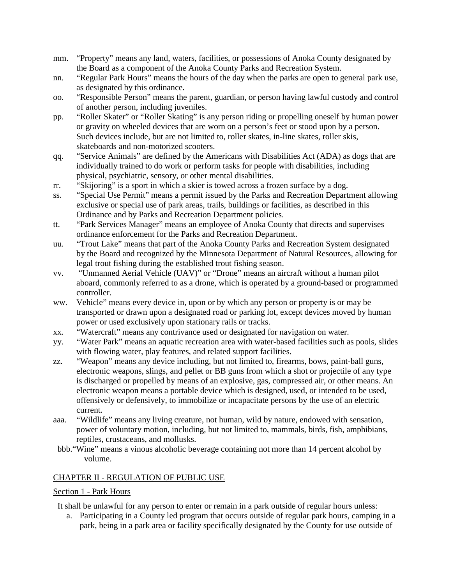- mm. "Property" means any land, waters, facilities, or possessions of Anoka County designated by the Board as a component of the Anoka County Parks and Recreation System.
- nn. "Regular Park Hours" means the hours of the day when the parks are open to general park use, as designated by this ordinance.
- oo. "Responsible Person" means the parent, guardian, or person having lawful custody and control of another person, including juveniles.
- pp. "Roller Skater" or "Roller Skating" is any person riding or propelling oneself by human power or gravity on wheeled devices that are worn on a person's feet or stood upon by a person. Such devices include, but are not limited to, roller skates, in-line skates, roller skis, skateboards and non-motorized scooters.
- qq. "Service Animals" are defined by the Americans with Disabilities Act (ADA) as dogs that are individually trained to do work or perform tasks for people with disabilities, including physical, psychiatric, sensory, or other mental disabilities.
- rr. "Skijoring" is a sport in which a skier is towed across a frozen surface by a dog.
- ss. "Special Use Permit" means a permit issued by the Parks and Recreation Department allowing exclusive or special use of park areas, trails, buildings or facilities, as described in this Ordinance and by Parks and Recreation Department policies.
- tt. "Park Services Manager" means an employee of Anoka County that directs and supervises ordinance enforcement for the Parks and Recreation Department.
- uu. "Trout Lake" means that part of the Anoka County Parks and Recreation System designated by the Board and recognized by the Minnesota Department of Natural Resources, allowing for legal trout fishing during the established trout fishing season.
- vv. "Unmanned Aerial Vehicle (UAV)" or "Drone" means an aircraft without a human pilot aboard, commonly referred to as a drone, which is operated by a ground-based or programmed controller.
- ww. Vehicle" means every device in, upon or by which any person or property is or may be transported or drawn upon a designated road or parking lot, except devices moved by human power or used exclusively upon stationary rails or tracks.
- xx. "Watercraft" means any contrivance used or designated for navigation on water.
- yy. "Water Park" means an aquatic recreation area with water-based facilities such as pools, slides with flowing water, play features, and related support facilities.
- zz. "Weapon" means any device including, but not limited to, firearms, bows, paint-ball guns, electronic weapons, slings, and pellet or BB guns from which a shot or projectile of any type is discharged or propelled by means of an explosive, gas, compressed air, or other means. An electronic weapon means a portable device which is designed, used, or intended to be used, offensively or defensively, to immobilize or incapacitate persons by the use of an electric current.
- aaa. "Wildlife" means any living creature, not human, wild by nature, endowed with sensation, power of voluntary motion, including, but not limited to, mammals, birds, fish, amphibians, reptiles, crustaceans, and mollusks.
- bbb."Wine" means a vinous alcoholic beverage containing not more than 14 percent alcohol by volume.

## <span id="page-5-0"></span>CHAPTER II - REGULATION OF PUBLIC USE

## <span id="page-5-1"></span>Section 1 - Park Hours

It shall be unlawful for any person to enter or remain in a park outside of regular hours unless:

a. Participating in a County led program that occurs outside of regular park hours, camping in a park, being in a park area or facility specifically designated by the County for use outside of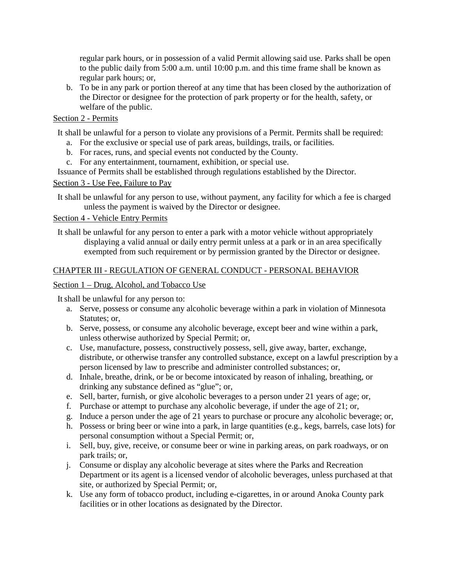regular park hours, or in possession of a valid Permit allowing said use. Parks shall be open to the public daily from 5:00 a.m. until 10:00 p.m. and this time frame shall be known as regular park hours; or,

b. To be in any park or portion thereof at any time that has been closed by the authorization of the Director or designee for the protection of park property or for the health, safety, or welfare of the public.

## <span id="page-6-0"></span>Section 2 - Permits

It shall be unlawful for a person to violate any provisions of a Permit. Permits shall be required:

- a. For the exclusive or special use of park areas, buildings, trails, or facilities.
- b. For races, runs, and special events not conducted by the County.
- c. For any entertainment, tournament, exhibition, or special use.

Issuance of Permits shall be established through regulations established by the Director.

#### <span id="page-6-1"></span>Section 3 - Use Fee, Failure to Pay

It shall be unlawful for any person to use, without payment, any facility for which a fee is charged unless the payment is waived by the Director or designee.

## <span id="page-6-2"></span>Section 4 - Vehicle Entry Permits

It shall be unlawful for any person to enter a park with a motor vehicle without appropriately displaying a valid annual or daily entry permit unless at a park or in an area specifically exempted from such requirement or by permission granted by the Director or designee.

#### <span id="page-6-3"></span>CHAPTER III - REGULATION OF GENERAL CONDUCT - PERSONAL BEHAVIOR

#### <span id="page-6-4"></span>Section 1 – Drug, Alcohol, and Tobacco Use

- a. Serve, possess or consume any alcoholic beverage within a park in violation of Minnesota Statutes; or,
- b. Serve, possess, or consume any alcoholic beverage, except beer and wine within a park, unless otherwise authorized by Special Permit; or,
- c. Use, manufacture, possess, constructively possess, sell, give away, barter, exchange, distribute, or otherwise transfer any controlled substance, except on a lawful prescription by a person licensed by law to prescribe and administer controlled substances; or,
- d. Inhale, breathe, drink, or be or become intoxicated by reason of inhaling, breathing, or drinking any substance defined as "glue"; or,
- e. Sell, barter, furnish, or give alcoholic beverages to a person under 21 years of age; or,
- f. Purchase or attempt to purchase any alcoholic beverage, if under the age of 21; or,
- g. Induce a person under the age of 21 years to purchase or procure any alcoholic beverage; or,
- h. Possess or bring beer or wine into a park, in large quantities (e.g., kegs, barrels, case lots) for personal consumption without a Special Permit; or,
- i. Sell, buy, give, receive, or consume beer or wine in parking areas, on park roadways, or on park trails; or,
- j. Consume or display any alcoholic beverage at sites where the Parks and Recreation Department or its agent is a licensed vendor of alcoholic beverages, unless purchased at that site, or authorized by Special Permit; or,
- k. Use any form of tobacco product, including e-cigarettes, in or around Anoka County park facilities or in other locations as designated by the Director.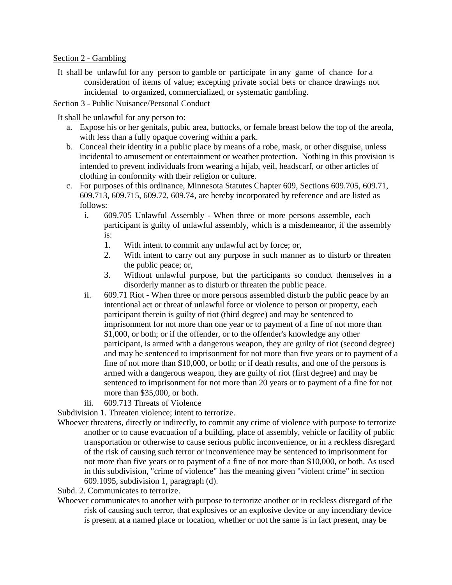#### <span id="page-7-0"></span>Section 2 - Gambling

It shall be unlawful for any person to gamble or participate in any game of chance for a consideration of items of value; excepting private social bets or chance drawings not incidental to organized, commercialized, or systematic gambling.

#### <span id="page-7-1"></span>Section 3 - Public Nuisance/Personal Conduct

It shall be unlawful for any person to:

- a. Expose his or her genitals, pubic area, buttocks, or female breast below the top of the areola, with less than a fully opaque covering within a park.
- b. Conceal their identity in a public place by means of a robe, mask, or other disguise, unless incidental to amusement or entertainment or weather protection. Nothing in this provision is intended to prevent individuals from wearing a hijab, veil, headscarf, or other articles of clothing in conformity with their religion or culture.
- c. For purposes of this ordinance, Minnesota Statutes Chapter 609, Sections 609.705, 609.71, 609.713, 609.715, 609.72, 609.74, are hereby incorporated by reference and are listed as follows:
	- i. 609.705 Unlawful Assembly When three or more persons assemble, each participant is guilty of unlawful assembly, which is a misdemeanor, if the assembly is:
		- 1. With intent to commit any unlawful act by force; or,
		- 2. With intent to carry out any purpose in such manner as to disturb or threaten the public peace; or,
		- 3. Without unlawful purpose, but the participants so conduct themselves in a disorderly manner as to disturb or threaten the public peace.
	- ii. 609.71 Riot When three or more persons assembled disturb the public peace by an intentional act or threat of unlawful force or violence to person or property, each participant therein is guilty of riot (third degree) and may be sentenced to imprisonment for not more than one year or to payment of a fine of not more than \$1,000, or both; or if the offender, or to the offender's knowledge any other participant, is armed with a dangerous weapon, they are guilty of riot (second degree) and may be sentenced to imprisonment for not more than five years or to payment of a fine of not more than \$10,000, or both; or if death results, and one of the persons is armed with a dangerous weapon, they are guilty of riot (first degree) and may be sentenced to imprisonment for not more than 20 years or to payment of a fine for not more than \$35,000, or both.
	- iii. 609.713 Threats of Violence

Subdivision 1. Threaten violence; intent to terrorize.

Whoever threatens, directly or indirectly, to commit any crime of violence with purpose to terrorize another or to cause evacuation of a building, place of assembly, vehicle or facility of public transportation or otherwise to cause serious public inconvenience, or in a reckless disregard of the risk of causing such terror or inconvenience may be sentenced to imprisonment for not more than five years or to payment of a fine of not more than \$10,000, or both. As used in this subdivision, "crime of violence" has the meaning given "violent crime" in section [609.1095, subdivision 1,](https://www.revisor.mn.gov/statutes/?id=609.1095#stat.609.1095.1) paragraph (d).

Subd. 2. Communicates to terrorize.

Whoever communicates to another with purpose to terrorize another or in reckless disregard of the risk of causing such terror, that explosives or an explosive device or any incendiary device is present at a named place or location, whether or not the same is in fact present, may be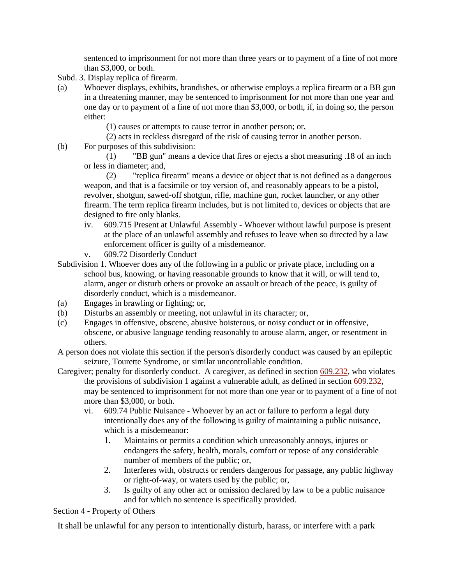sentenced to imprisonment for not more than three years or to payment of a fine of not more than \$3,000, or both.

- Subd. 3. Display replica of firearm.
- (a) Whoever displays, exhibits, brandishes, or otherwise employs a replica firearm or a BB gun in a threatening manner, may be sentenced to imprisonment for not more than one year and one day or to payment of a fine of not more than \$3,000, or both, if, in doing so, the person either:

(1) causes or attempts to cause terror in another person; or,

- (2) acts in reckless disregard of the risk of causing terror in another person.
- (b) For purposes of this subdivision:

(1) "BB gun" means a device that fires or ejects a shot measuring .18 of an inch or less in diameter; and,

(2) "replica firearm" means a device or object that is not defined as a dangerous weapon, and that is a facsimile or toy version of, and reasonably appears to be a pistol, revolver, shotgun, sawed-off shotgun, rifle, machine gun, rocket launcher, or any other firearm. The term replica firearm includes, but is not limited to, devices or objects that are designed to fire only blanks.

- iv. 609.715 Present at Unlawful Assembly Whoever without lawful purpose is present at the place of an unlawful assembly and refuses to leave when so directed by a law enforcement officer is guilty of a misdemeanor.
- v. 609.72 Disorderly Conduct
- Subdivision 1. Whoever does any of the following in a public or private place, including on a school bus, knowing, or having reasonable grounds to know that it will, or will tend to, alarm, anger or disturb others or provoke an assault or breach of the peace, is guilty of disorderly conduct, which is a misdemeanor.
- (a) Engages in brawling or fighting; or,
- (b) Disturbs an assembly or meeting, not unlawful in its character; or,
- (c) Engages in offensive, obscene, abusive boisterous, or noisy conduct or in offensive, obscene, or abusive language tending reasonably to arouse alarm, anger, or resentment in others.
- A person does not violate this section if the person's disorderly conduct was caused by an epileptic seizure, Tourette Syndrome, or similar uncontrollable condition.
- Caregiver; penalty for disorderly conduct. A caregiver, as defined in section [609.232,](https://www.revisor.mn.gov/statutes/?id=609.232) who violates the provisions of subdivision 1 against a vulnerable adult, as defined in section [609.232,](https://www.revisor.mn.gov/statutes/?id=609.232) may be sentenced to imprisonment for not more than one year or to payment of a fine of not more than \$3,000, or both.
	- vi. 609.74 Public Nuisance Whoever by an act or failure to perform a legal duty intentionally does any of the following is guilty of maintaining a public nuisance, which is a misdemeanor:
		- 1. Maintains or permits a condition which unreasonably annoys, injures or endangers the safety, health, morals, comfort or repose of any considerable number of members of the public; or,
		- 2. Interferes with, obstructs or renders dangerous for passage, any public highway or right-of-way, or waters used by the public; or,
		- 3. Is guilty of any other act or omission declared by law to be a public nuisance and for which no sentence is specifically provided.

## <span id="page-8-0"></span>Section 4 - Property of Others

It shall be unlawful for any person to intentionally disturb, harass, or interfere with a park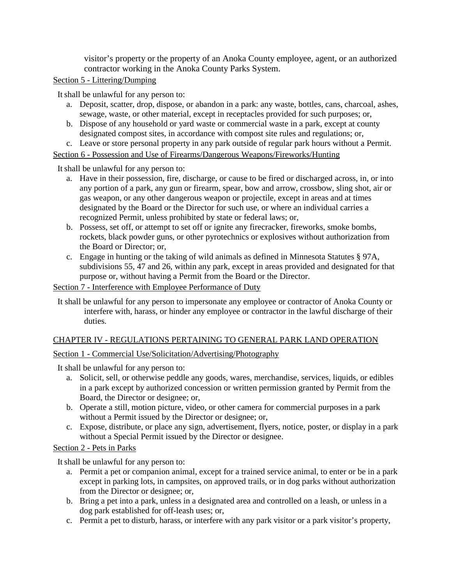visitor's property or the property of an Anoka County employee, agent, or an authorized contractor working in the Anoka County Parks System.

## <span id="page-9-0"></span>Section 5 - Littering/Dumping

It shall be unlawful for any person to:

- a. Deposit, scatter, drop, dispose, or abandon in a park: any waste, bottles, cans, charcoal, ashes, sewage, waste, or other material, except in receptacles provided for such purposes; or,
- b. Dispose of any household or yard waste or commercial waste in a park, except at county designated compost sites, in accordance with compost site rules and regulations; or,
- c. Leave or store personal property in any park outside of regular park hours without a Permit.

<span id="page-9-1"></span>Section 6 - Possession and Use of Firearms/Dangerous Weapons/Fireworks/Hunting

It shall be unlawful for any person to:

- a. Have in their possession, fire, discharge, or cause to be fired or discharged across, in, or into any portion of a park, any gun or firearm, spear, bow and arrow, crossbow, sling shot, air or gas weapon, or any other dangerous weapon or projectile, except in areas and at times designated by the Board or the Director for such use, or where an individual carries a recognized Permit, unless prohibited by state or federal laws; or,
- b. Possess, set off, or attempt to set off or ignite any firecracker, fireworks, smoke bombs, rockets, black powder guns, or other pyrotechnics or explosives without authorization from the Board or Director; or,
- c. Engage in hunting or the taking of wild animals as defined in Minnesota Statutes § 97A, subdivisions 55, 47 and 26, within any park, except in areas provided and designated for that purpose or, without having a Permit from the Board or the Director.

## <span id="page-9-2"></span>Section 7 - Interference with Employee Performance of Duty

It shall be unlawful for any person to impersonate any employee or contractor of Anoka County or interfere with, harass, or hinder any employee or contractor in the lawful discharge of their duties.

## <span id="page-9-3"></span>CHAPTER IV - REGULATIONS PERTAINING TO GENERAL PARK LAND OPERATION

## <span id="page-9-4"></span>Section 1 - Commercial Use/Solicitation/Advertising/Photography

It shall be unlawful for any person to:

- a. Solicit, sell, or otherwise peddle any goods, wares, merchandise, services, liquids, or edibles in a park except by authorized concession or written permission granted by Permit from the Board, the Director or designee; or,
- b. Operate a still, motion picture, video, or other camera for commercial purposes in a park without a Permit issued by the Director or designee; or,
- c. Expose, distribute, or place any sign, advertisement, flyers, notice, poster, or display in a park without a Special Permit issued by the Director or designee.

## <span id="page-9-5"></span>Section 2 - Pets in Parks

- a. Permit a pet or companion animal, except for a trained service animal, to enter or be in a park except in parking lots, in campsites, on approved trails, or in dog parks without authorization from the Director or designee; or,
- b. Bring a pet into a park, unless in a designated area and controlled on a leash, or unless in a dog park established for off-leash uses; or,
- c. Permit a pet to disturb, harass, or interfere with any park visitor or a park visitor's property,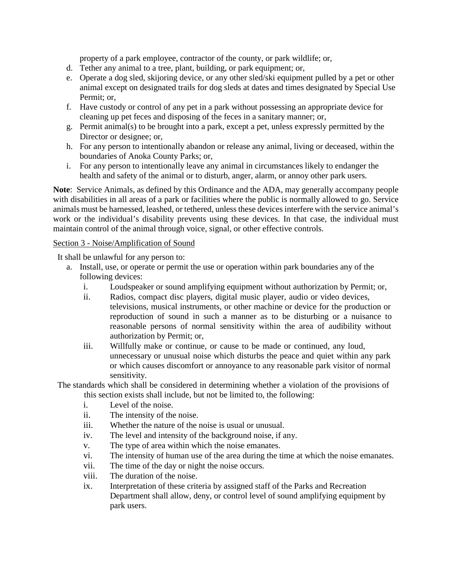property of a park employee, contractor of the county, or park wildlife; or,

- d. Tether any animal to a tree, plant, building, or park equipment; or,
- e. Operate a dog sled, skijoring device, or any other sled/ski equipment pulled by a pet or other animal except on designated trails for dog sleds at dates and times designated by Special Use Permit; or,
- f. Have custody or control of any pet in a park without possessing an appropriate device for cleaning up pet feces and disposing of the feces in a sanitary manner; or,
- g. Permit animal(s) to be brought into a park, except a pet, unless expressly permitted by the Director or designee; or,
- h. For any person to intentionally abandon or release any animal, living or deceased, within the boundaries of Anoka County Parks; or,
- i. For any person to intentionally leave any animal in circumstances likely to endanger the health and safety of the animal or to disturb, anger, alarm, or annoy other park users.

**Note**: Service Animals, as defined by this Ordinance and the ADA, may generally accompany people with disabilities in all areas of a park or facilities where the public is normally allowed to go. Service animals must be harnessed, leashed, or tethered, unless these devices interfere with the service animal's work or the individual's disability prevents using these devices. In that case, the individual must maintain control of the animal through voice, signal, or other effective controls.

## <span id="page-10-0"></span>Section 3 - Noise/Amplification of Sound

It shall be unlawful for any person to:

- a. Install, use, or operate or permit the use or operation within park boundaries any of the following devices:
	- i. Loudspeaker or sound amplifying equipment without authorization by Permit; or,
	- ii. Radios, compact disc players, digital music player, audio or video devices, televisions, musical instruments, or other machine or device for the production or reproduction of sound in such a manner as to be disturbing or a nuisance to reasonable persons of normal sensitivity within the area of audibility without authorization by Permit; or,
	- iii. Willfully make or continue, or cause to be made or continued, any loud, unnecessary or unusual noise which disturbs the peace and quiet within any park or which causes discomfort or annoyance to any reasonable park visitor of normal sensitivity.

The standards which shall be considered in determining whether a violation of the provisions of this section exists shall include, but not be limited to, the following:

- i. Level of the noise.
- ii. The intensity of the noise.
- iii. Whether the nature of the noise is usual or unusual.
- iv. The level and intensity of the background noise, if any.
- v. The type of area within which the noise emanates.
- vi. The intensity of human use of the area during the time at which the noise emanates.
- vii. The time of the day or night the noise occurs.
- viii. The duration of the noise.
- ix. Interpretation of these criteria by assigned staff of the Parks and Recreation Department shall allow, deny, or control level of sound amplifying equipment by park users.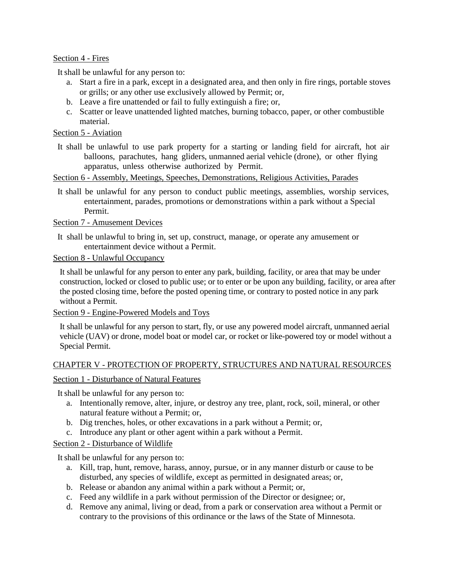#### <span id="page-11-0"></span>Section 4 - Fires

It shall be unlawful for any person to:

- a. Start a fire in a park, except in a designated area, and then only in fire rings, portable stoves or grills; or any other use exclusively allowed by Permit; or,
- b. Leave a fire unattended or fail to fully extinguish a fire; or,
- c. Scatter or leave unattended lighted matches, burning tobacco, paper, or other combustible material.

## <span id="page-11-1"></span>Section 5 - Aviation

It shall be unlawful to use park property for a starting or landing field for aircraft, hot air balloons, parachutes, hang gliders, unmanned aerial vehicle (drone), or other flying apparatus, unless otherwise authorized by Permit.

#### <span id="page-11-2"></span>Section 6 - Assembly, Meetings, Speeches, Demonstrations, Religious Activities, Parades

It shall be unlawful for any person to conduct public meetings, assemblies, worship services, entertainment, parades, promotions or demonstrations within a park without a Special Permit.

## <span id="page-11-3"></span>Section 7 - Amusement Devices

It shall be unlawful to bring in, set up, construct, manage, or operate any amusement or entertainment device without a Permit.

## <span id="page-11-4"></span>Section 8 - Unlawful Occupancy

It shall be unlawful for any person to enter any park, building, facility, or area that may be under construction, locked or closed to public use; or to enter or be upon any building, facility, or area after the posted closing time, before the posted opening time, or contrary to posted notice in any park without a Permit.

<span id="page-11-5"></span>Section 9 - Engine-Powered Models and Toys

It shall be unlawful for any person to start, fly, or use any powered model aircraft, unmanned aerial vehicle (UAV) or drone, model boat or model car, or rocket or like-powered toy or model without a Special Permit.

## <span id="page-11-6"></span>CHAPTER V - PROTECTION OF PROPERTY, STRUCTURES AND NATURAL RESOURCES

## <span id="page-11-7"></span>Section 1 - Disturbance of Natural Features

It shall be unlawful for any person to:

- a. Intentionally remove, alter, injure, or destroy any tree, plant, rock, soil, mineral, or other natural feature without a Permit; or,
- b. Dig trenches, holes, or other excavations in a park without a Permit; or,
- c. Introduce any plant or other agent within a park without a Permit.

#### <span id="page-11-8"></span>Section 2 - Disturbance of Wildlife

- a. Kill, trap, hunt, remove, harass, annoy, pursue, or in any manner disturb or cause to be disturbed, any species of wildlife, except as permitted in designated areas; or,
- b. Release or abandon any animal within a park without a Permit; or,
- c. Feed any wildlife in a park without permission of the Director or designee; or,
- d. Remove any animal, living or dead, from a park or conservation area without a Permit or contrary to the provisions of this ordinance or the laws of the State of Minnesota.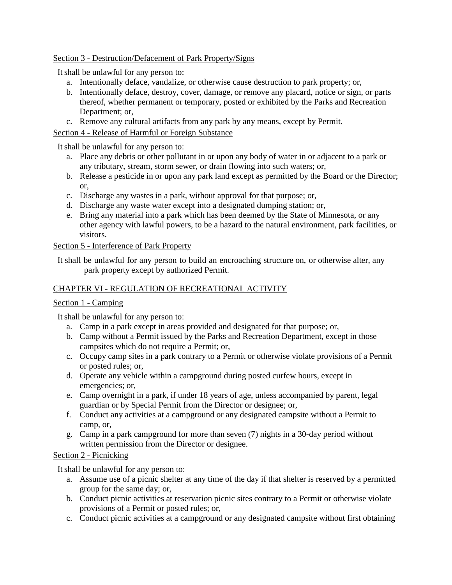## <span id="page-12-0"></span>Section 3 - Destruction/Defacement of Park Property/Signs

It shall be unlawful for any person to:

- a. Intentionally deface, vandalize, or otherwise cause destruction to park property; or,
- b. Intentionally deface, destroy, cover, damage, or remove any placard, notice or sign, or parts thereof, whether permanent or temporary, posted or exhibited by the Parks and Recreation Department; or,
- c. Remove any cultural artifacts from any park by any means, except by Permit.

## <span id="page-12-1"></span>Section 4 - Release of Harmful or Foreign Substance

It shall be unlawful for any person to:

- a. Place any debris or other pollutant in or upon any body of water in or adjacent to a park or any tributary, stream, storm sewer, or drain flowing into such waters; or,
- b. Release a pesticide in or upon any park land except as permitted by the Board or the Director; or,
- c. Discharge any wastes in a park, without approval for that purpose; or,
- d. Discharge any waste water except into a designated dumping station; or,
- e. Bring any material into a park which has been deemed by the State of Minnesota, or any other agency with lawful powers, to be a hazard to the natural environment, park facilities, or visitors.

#### <span id="page-12-2"></span>Section 5 - Interference of Park Property

It shall be unlawful for any person to build an encroaching structure on, or otherwise alter, any park property except by authorized Permit.

## <span id="page-12-3"></span>CHAPTER VI - REGULATION OF RECREATIONAL ACTIVITY

## <span id="page-12-4"></span>Section 1 - Camping

It shall be unlawful for any person to:

- a. Camp in a park except in areas provided and designated for that purpose; or,
- b. Camp without a Permit issued by the Parks and Recreation Department, except in those campsites which do not require a Permit; or,
- c. Occupy camp sites in a park contrary to a Permit or otherwise violate provisions of a Permit or posted rules; or,
- d. Operate any vehicle within a campground during posted curfew hours, except in emergencies; or,
- e. Camp overnight in a park, if under 18 years of age, unless accompanied by parent, legal guardian or by Special Permit from the Director or designee; or,
- f. Conduct any activities at a campground or any designated campsite without a Permit to camp, or,
- g. Camp in a park campground for more than seven (7) nights in a 30-day period without written permission from the Director or designee.

## <span id="page-12-5"></span>Section 2 - Picnicking

- a. Assume use of a picnic shelter at any time of the day if that shelter is reserved by a permitted group for the same day; or,
- b. Conduct picnic activities at reservation picnic sites contrary to a Permit or otherwise violate provisions of a Permit or posted rules; or,
- c. Conduct picnic activities at a campground or any designated campsite without first obtaining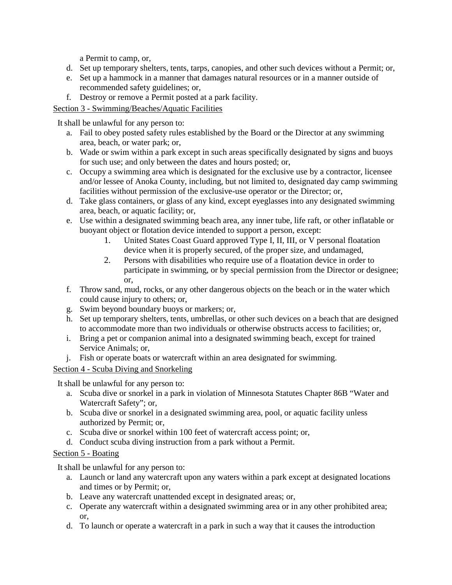a Permit to camp, or,

- d. Set up temporary shelters, tents, tarps, canopies, and other such devices without a Permit; or,
- e. Set up a hammock in a manner that damages natural resources or in a manner outside of recommended safety guidelines; or,
- f. Destroy or remove a Permit posted at a park facility.

## <span id="page-13-0"></span>Section 3 - Swimming/Beaches/Aquatic Facilities

It shall be unlawful for any person to:

- a. Fail to obey posted safety rules established by the Board or the Director at any swimming area, beach, or water park; or,
- b. Wade or swim within a park except in such areas specifically designated by signs and buoys for such use; and only between the dates and hours posted; or,
- c. Occupy a swimming area which is designated for the exclusive use by a contractor, licensee and/or lessee of Anoka County, including, but not limited to, designated day camp swimming facilities without permission of the exclusive-use operator or the Director; or,
- d. Take glass containers, or glass of any kind, except eyeglasses into any designated swimming area, beach, or aquatic facility; or,
- e. Use within a designated swimming beach area, any inner tube, life raft, or other inflatable or buoyant object or flotation device intended to support a person, except:
	- 1. United States Coast Guard approved Type I, II, III, or V personal floatation device when it is properly secured, of the proper size, and undamaged,
	- 2. Persons with disabilities who require use of a floatation device in order to participate in swimming, or by special permission from the Director or designee; or,
- f. Throw sand, mud, rocks, or any other dangerous objects on the beach or in the water which could cause injury to others; or,
- g. Swim beyond boundary buoys or markers; or,
- h. Set up temporary shelters, tents, umbrellas, or other such devices on a beach that are designed to accommodate more than two individuals or otherwise obstructs access to facilities; or,
- i. Bring a pet or companion animal into a designated swimming beach, except for trained Service Animals; or,
- j. Fish or operate boats or watercraft within an area designated for swimming.

## <span id="page-13-1"></span>Section 4 - Scuba Diving and Snorkeling

It shall be unlawful for any person to:

- a. Scuba dive or snorkel in a park in violation of Minnesota Statutes Chapter 86B "Water and Watercraft Safety"; or,
- b. Scuba dive or snorkel in a designated swimming area, pool, or aquatic facility unless authorized by Permit; or,
- c. Scuba dive or snorkel within 100 feet of watercraft access point; or,
- d. Conduct scuba diving instruction from a park without a Permit.

## <span id="page-13-2"></span>Section 5 - Boating

- a. Launch or land any watercraft upon any waters within a park except at designated locations and times or by Permit; or,
- b. Leave any watercraft unattended except in designated areas; or,
- c. Operate any watercraft within a designated swimming area or in any other prohibited area; or,
- d. To launch or operate a watercraft in a park in such a way that it causes the introduction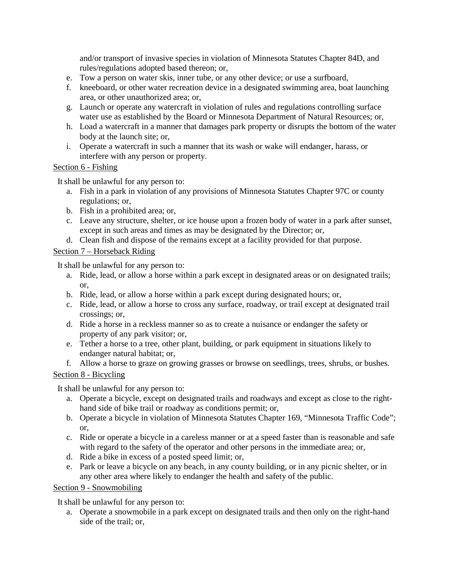and/or transport of invasive species in violation of Minnesota Statutes Chapter 84D, and rules/regulations adopted based thereon; or,

- e. Tow a person on water skis, inner tube, or any other device; or use a surfboard,
- f. kneeboard, or other water recreation device in a designated swimming area, boat launching area, or other unauthorized area; or,
- g. Launch or operate any watercraft in violation of rules and regulations controlling surface water use as established by the Board or Minnesota Department of Natural Resources; or,
- h. Load a watercraft in a manner that damages park property or disrupts the bottom of the water body at the launch site; or,
- i. Operate a watercraft in such a manner that its wash or wake will endanger, harass, or interfere with any person or property.

## <span id="page-14-0"></span>Section 6 - Fishing

It shall be unlawful for any person to:

- a. Fish in a park in violation of any provisions of Minnesota Statutes Chapter 97C or county regulations; or,
- b. Fish in a prohibited area; or,
- c. Leave any structure, shelter, or ice house upon a frozen body of water in a park after sunset, except in such areas and times as may be designated by the Director; or,
- d. Clean fish and dispose of the remains except at a facility provided for that purpose.

## <span id="page-14-1"></span>Section 7 – Horseback Riding

It shall be unlawful for any person to:

- a. Ride, lead, or allow a horse within a park except in designated areas or on designated trails; or,
- b. Ride, lead, or allow a horse within a park except during designated hours; or,
- c. Ride, lead, or allow a horse to cross any surface, roadway, or trail except at designated trail crossings; or,
- d. Ride a horse in a reckless manner so as to create a nuisance or endanger the safety or property of any park visitor; or,
- e. Tether a horse to a tree, other plant, building, or park equipment in situations likely to endanger natural habitat; or,
- f. Allow a horse to graze on growing grasses or browse on seedlings, trees, shrubs, or bushes.

## <span id="page-14-2"></span>Section 8 - Bicycling

It shall be unlawful for any person to:

- a. Operate a bicycle, except on designated trails and roadways and except as close to the righthand side of bike trail or roadway as conditions permit; or,
- b. Operate a bicycle in violation of Minnesota Statutes Chapter 169, "Minnesota Traffic Code"; or,
- c. Ride or operate a bicycle in a careless manner or at a speed faster than is reasonable and safe with regard to the safety of the operator and other persons in the immediate area; or,
- d. Ride a bike in excess of a posted speed limit; or,
- e. Park or leave a bicycle on any beach, in any county building, or in any picnic shelter, or in any other area where likely to endanger the health and safety of the public.

## <span id="page-14-3"></span>Section 9 - Snowmobiling

It shall be unlawful for any person to:

a. Operate a snowmobile in a park except on designated trails and then only on the right-hand side of the trail; or,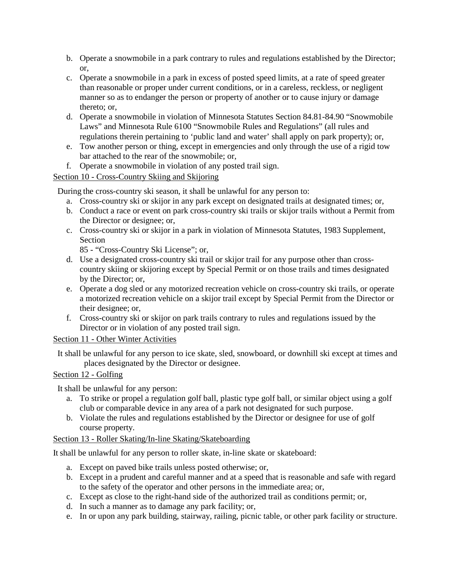- b. Operate a snowmobile in a park contrary to rules and regulations established by the Director; or,
- c. Operate a snowmobile in a park in excess of posted speed limits, at a rate of speed greater than reasonable or proper under current conditions, or in a careless, reckless, or negligent manner so as to endanger the person or property of another or to cause injury or damage thereto; or,
- d. Operate a snowmobile in violation of Minnesota Statutes Section 84.81-84.90 "Snowmobile Laws" and Minnesota Rule 6100 "Snowmobile Rules and Regulations" (all rules and regulations therein pertaining to 'public land and water' shall apply on park property); or,
- e. Tow another person or thing, except in emergencies and only through the use of a rigid tow bar attached to the rear of the snowmobile; or,
- f. Operate a snowmobile in violation of any posted trail sign.

## <span id="page-15-0"></span>Section 10 - Cross-Country Skiing and Skijoring

During the cross-country ski season, it shall be unlawful for any person to:

- a. Cross-country ski or skijor in any park except on designated trails at designated times; or,
- b. Conduct a race or event on park cross-country ski trails or skijor trails without a Permit from the Director or designee; or,
- c. Cross-country ski or skijor in a park in violation of Minnesota Statutes, 1983 Supplement, Section

85 - "Cross-Country Ski License"; or,

- d. Use a designated cross-country ski trail or skijor trail for any purpose other than crosscountry skiing or skijoring except by Special Permit or on those trails and times designated by the Director; or,
- e. Operate a dog sled or any motorized recreation vehicle on cross-country ski trails, or operate a motorized recreation vehicle on a skijor trail except by Special Permit from the Director or their designee; or,
- f. Cross-country ski or skijor on park trails contrary to rules and regulations issued by the Director or in violation of any posted trail sign.

<span id="page-15-1"></span>Section 11 - Other Winter Activities

It shall be unlawful for any person to ice skate, sled, snowboard, or downhill ski except at times and places designated by the Director or designee.

## <span id="page-15-2"></span>Section 12 - Golfing

It shall be unlawful for any person:

- a. To strike or propel a regulation golf ball, plastic type golf ball, or similar object using a golf club or comparable device in any area of a park not designated for such purpose.
- b. Violate the rules and regulations established by the Director or designee for use of golf course property.

## <span id="page-15-3"></span>Section 13 - Roller Skating/In-line Skating/Skateboarding

It shall be unlawful for any person to roller skate, in-line skate or skateboard:

- a. Except on paved bike trails unless posted otherwise; or,
- b. Except in a prudent and careful manner and at a speed that is reasonable and safe with regard to the safety of the operator and other persons in the immediate area; or,
- c. Except as close to the right-hand side of the authorized trail as conditions permit; or,
- d. In such a manner as to damage any park facility; or,
- e. In or upon any park building, stairway, railing, picnic table, or other park facility or structure.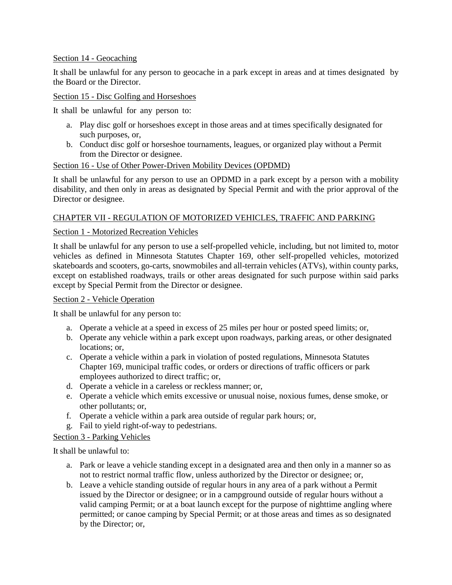#### <span id="page-16-0"></span>Section 14 - Geocaching

It shall be unlawful for any person to geocache in a park except in areas and at times designated by the Board or the Director.

#### <span id="page-16-1"></span>Section 15 - Disc Golfing and Horseshoes

It shall be unlawful for any person to:

- a. Play disc golf or horseshoes except in those areas and at times specifically designated for such purposes, or,
- b. Conduct disc golf or horseshoe tournaments, leagues, or organized play without a Permit from the Director or designee.

#### <span id="page-16-2"></span>Section 16 - Use of Other Power-Driven Mobility Devices (OPDMD)

It shall be unlawful for any person to use an OPDMD in a park except by a person with a mobility disability, and then only in areas as designated by Special Permit and with the prior approval of the Director or designee.

## <span id="page-16-3"></span>CHAPTER VII - REGULATION OF MOTORIZED VEHICLES, TRAFFIC AND PARKING

#### <span id="page-16-4"></span>Section 1 - Motorized Recreation Vehicles

It shall be unlawful for any person to use a self-propelled vehicle, including, but not limited to, motor vehicles as defined in Minnesota Statutes Chapter 169, other self-propelled vehicles, motorized skateboards and scooters, go-carts, snowmobiles and all-terrain vehicles (ATVs), within county parks, except on established roadways, trails or other areas designated for such purpose within said parks except by Special Permit from the Director or designee.

#### <span id="page-16-5"></span>Section 2 - Vehicle Operation

It shall be unlawful for any person to:

- a. Operate a vehicle at a speed in excess of 25 miles per hour or posted speed limits; or,
- b. Operate any vehicle within a park except upon roadways, parking areas, or other designated locations; or,
- c. Operate a vehicle within a park in violation of posted regulations, Minnesota Statutes Chapter 169, municipal traffic codes, or orders or directions of traffic officers or park employees authorized to direct traffic; or,
- d. Operate a vehicle in a careless or reckless manner; or,
- e. Operate a vehicle which emits excessive or unusual noise, noxious fumes, dense smoke, or other pollutants; or,
- f. Operate a vehicle within a park area outside of regular park hours; or,
- g. Fail to yield right-of-way to pedestrians.

## <span id="page-16-6"></span>Section 3 - Parking Vehicles

It shall be unlawful to:

- a. Park or leave a vehicle standing except in a designated area and then only in a manner so as not to restrict normal traffic flow, unless authorized by the Director or designee; or,
- b. Leave a vehicle standing outside of regular hours in any area of a park without a Permit issued by the Director or designee; or in a campground outside of regular hours without a valid camping Permit; or at a boat launch except for the purpose of nighttime angling where permitted; or canoe camping by Special Permit; or at those areas and times as so designated by the Director; or,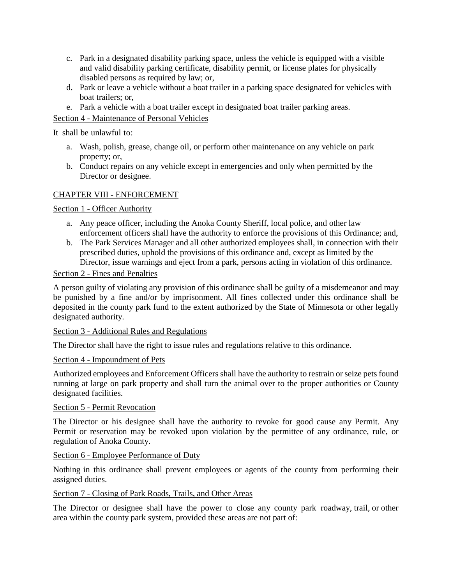- c. Park in a designated disability parking space, unless the vehicle is equipped with a visible and valid disability parking certificate, disability permit, or license plates for physically disabled persons as required by law; or,
- d. Park or leave a vehicle without a boat trailer in a parking space designated for vehicles with boat trailers; or,
- e. Park a vehicle with a boat trailer except in designated boat trailer parking areas.

## <span id="page-17-0"></span>Section 4 - Maintenance of Personal Vehicles

It shall be unlawful to:

- a. Wash, polish, grease, change oil, or perform other maintenance on any vehicle on park property; or,
- b. Conduct repairs on any vehicle except in emergencies and only when permitted by the Director or designee.

## <span id="page-17-1"></span>CHAPTER VIII - ENFORCEMENT

<span id="page-17-2"></span>Section 1 - Officer Authority

- a. Any peace officer, including the Anoka County Sheriff, local police, and other law enforcement officers shall have the authority to enforce the provisions of this Ordinance; and,
- b. The Park Services Manager and all other authorized employees shall, in connection with their prescribed duties, uphold the provisions of this ordinance and, except as limited by the Director, issue warnings and eject from a park, persons acting in violation of this ordinance.

#### <span id="page-17-3"></span>Section 2 - Fines and Penalties

A person guilty of violating any provision of this ordinance shall be guilty of a misdemeanor and may be punished by a fine and/or by imprisonment. All fines collected under this ordinance shall be deposited in the county park fund to the extent authorized by the State of Minnesota or other legally designated authority.

#### <span id="page-17-4"></span>Section 3 - Additional Rules and Regulations

The Director shall have the right to issue rules and regulations relative to this ordinance.

#### <span id="page-17-5"></span>Section 4 - Impoundment of Pets

Authorized employees and Enforcement Officers shall have the authority to restrain or seize pets found running at large on park property and shall turn the animal over to the proper authorities or County designated facilities.

#### <span id="page-17-6"></span>Section 5 - Permit Revocation

The Director or his designee shall have the authority to revoke for good cause any Permit. Any Permit or reservation may be revoked upon violation by the permittee of any ordinance, rule, or regulation of Anoka County.

#### <span id="page-17-7"></span>Section 6 - Employee Performance of Duty

Nothing in this ordinance shall prevent employees or agents of the county from performing their assigned duties.

#### <span id="page-17-8"></span>Section 7 - Closing of Park Roads, Trails, and Other Areas

The Director or designee shall have the power to close any county park roadway, trail, or other area within the county park system, provided these areas are not part of: